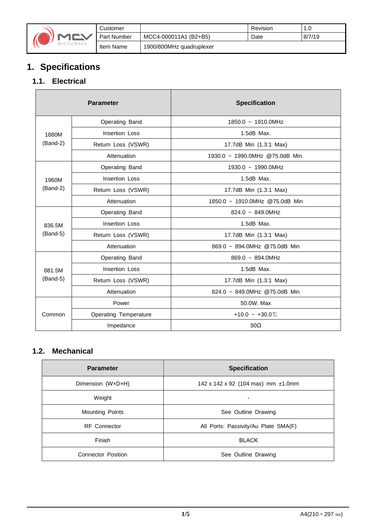

|    | Customer           |                          | Revision | 1.0    |
|----|--------------------|--------------------------|----------|--------|
|    | <b>Part Number</b> | MCC4-000011A1 (B2+B5)    | Date     | 8/7/19 |
| E. | Item Name          | 1900/800MHz quadruplexer |          |        |

# **1. Specifications**

### **1.1. Electrical**

|            | <b>Parameter</b>             | <b>Specification</b>            |  |
|------------|------------------------------|---------------------------------|--|
|            | Operating Band               | 1850.0 ~ 1910.0MHz              |  |
| 1880M      | Insertion Loss               | $1.5dB$ Max.                    |  |
| $(Band-2)$ | Return Loss (VSWR)           | 17.7dB Min (1.3:1 Max)          |  |
|            | Attenuation                  | 1930.0 ~ 1990.0MHz @75.0dB Min. |  |
|            | Operating Band               | 1930.0 ~ 1990.0MHz              |  |
| 1960M      | <b>Insertion Loss</b>        | $1.5dB$ Max.                    |  |
| $(Band-2)$ | Return Loss (VSWR)           | 17.7dB Min (1.3:1 Max)          |  |
|            | Attenuation                  | 1850.0 ~ 1910.0MHz @75.0dB Min  |  |
|            | Operating Band               | $824.0 \sim 849.0$ MHz          |  |
| 836.5M     | Insertion Loss               | $1.5dB$ Max.                    |  |
| $(Band-5)$ | Return Loss (VSWR)           | 17.7dB Min (1.3:1 Max)          |  |
|            | Attenuation                  | 869.0 ~ 894.0MHz @75.0dB Min    |  |
|            | Operating Band               | $869.0 - 894.0$ MHz             |  |
| 881.5M     | <b>Insertion Loss</b>        | $1.5dB$ Max.                    |  |
| $(Band-5)$ | Return Loss (VSWR)           | 17.7dB Min (1.3:1 Max)          |  |
|            | Attenuation                  | 824.0 ~ 849.0MHz @75.0dB Min    |  |
|            | Power                        | 50.0W. Max                      |  |
| Common     | <b>Operating Temperature</b> | +10.0 ~ +30.0 $\degree$         |  |
|            | Impedance                    | $50\Omega$                      |  |

#### **1.2. Mechanical**

| <b>Parameter</b>          | <b>Specification</b>                 |  |
|---------------------------|--------------------------------------|--|
| Dimension (WxDxH)         | 142 x 142 x 92 (104 max) mm ±1.0mm   |  |
| Weight                    | -                                    |  |
| <b>Mounting Points</b>    | See Outline Drawing                  |  |
| <b>RF</b> Connector       | All Ports: Passivity/Au Plate SMA(F) |  |
| Finish                    | <b>BLACK</b>                         |  |
| <b>Connector Position</b> | See Outline Drawing                  |  |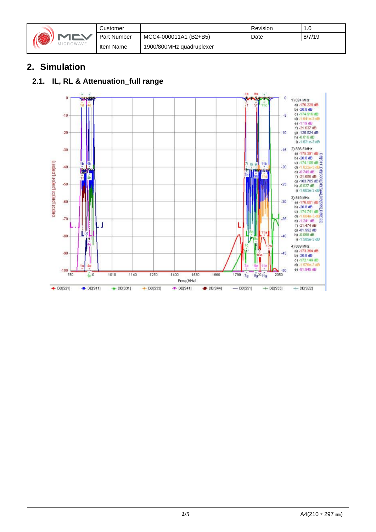|  | MICROWAVE |
|--|-----------|
|--|-----------|

|            | Customer           |                          | Revision | 1.0    |
|------------|--------------------|--------------------------|----------|--------|
|            | <b>Part Number</b> | MCC4-000011A1 (B2+B5)    | Date     | 8/7/19 |
| $\sqrt{2}$ | Item Name          | 1900/800MHz quadruplexer |          |        |

## **2. Simulation**

### **2.1. IL, RL & Attenuation\_full range**

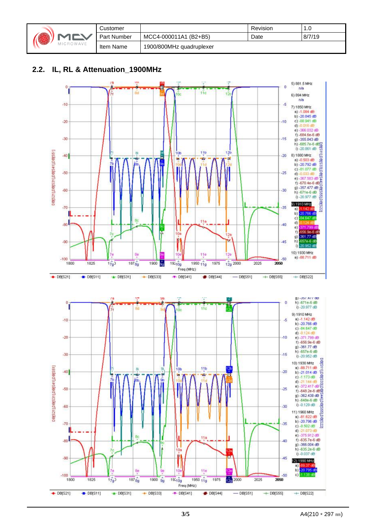| 74 | <b>CROWAVE</b> | Customer    |                          | Revision | I.U    |
|----|----------------|-------------|--------------------------|----------|--------|
|    |                | Part Number | MCC4-000011A1 (B2+B5)    | Date     | 8/7/19 |
|    |                | Item Name   | 1900/800MHz quadruplexer |          |        |

#### **2.2. IL, RL & Attenuation\_1900MHz**

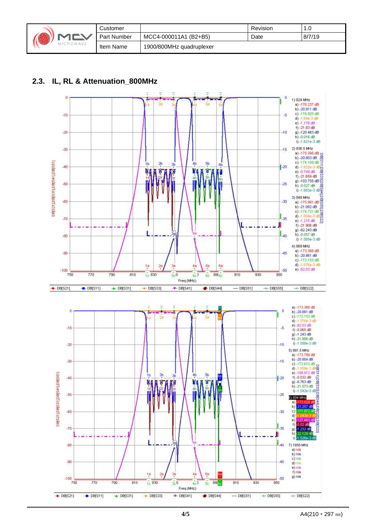|        | <b>MEV</b><br>MICROWAVE | Customer           |                          | Revision | 0. ا   |
|--------|-------------------------|--------------------|--------------------------|----------|--------|
| HALL 1 |                         | <b>Part Number</b> | MCC4-000011A1 (B2+B5)    | Date     | 8/7/19 |
|        |                         | Item Name          | 1900/800MHz quadruplexer |          |        |

#### **2.3. IL, RL & Attenuation\_800MHz**